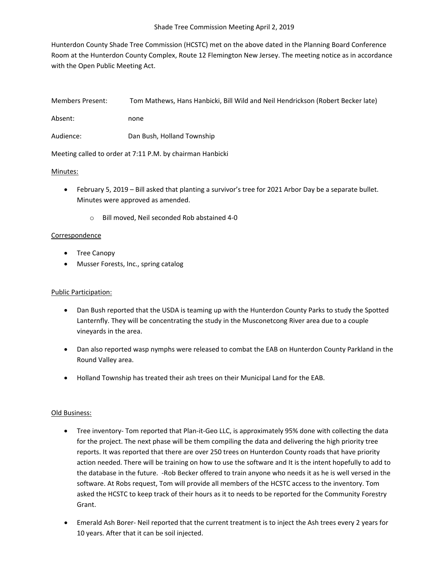Hunterdon County Shade Tree Commission (HCSTC) met on the above dated in the Planning Board Conference Room at the Hunterdon County Complex, Route 12 Flemington New Jersey. The meeting notice as in accordance with the Open Public Meeting Act.

| Members Present:                                          | Tom Mathews, Hans Hanbicki, Bill Wild and Neil Hendrickson (Robert Becker late) |
|-----------------------------------------------------------|---------------------------------------------------------------------------------|
| Absent:                                                   | none                                                                            |
| Audience:                                                 | Dan Bush, Holland Township                                                      |
| Meeting called to order at 7:11 P.M. by chairman Hanbicki |                                                                                 |

#### Minutes:

- February 5, 2019 Bill asked that planting a survivor's tree for 2021 Arbor Day be a separate bullet. Minutes were approved as amended.
	- o Bill moved, Neil seconded Rob abstained 4-0

#### Correspondence

- Tree Canopy
- Musser Forests, Inc., spring catalog

# Public Participation:

- Dan Bush reported that the USDA is teaming up with the Hunterdon County Parks to study the Spotted Lanternfly. They will be concentrating the study in the Musconetcong River area due to a couple vineyards in the area.
- Dan also reported wasp nymphs were released to combat the EAB on Hunterdon County Parkland in the Round Valley area.
- Holland Township has treated their ash trees on their Municipal Land for the EAB.

# Old Business:

- Tree inventory- Tom reported that Plan-it-Geo LLC, is approximately 95% done with collecting the data for the project. The next phase will be them compiling the data and delivering the high priority tree reports. It was reported that there are over 250 trees on Hunterdon County roads that have priority action needed. There will be training on how to use the software and It is the intent hopefully to add to the database in the future. -Rob Becker offered to train anyone who needs it as he is well versed in the software. At Robs request, Tom will provide all members of the HCSTC access to the inventory. Tom asked the HCSTC to keep track of their hours as it to needs to be reported for the Community Forestry Grant.
- Emerald Ash Borer- Neil reported that the current treatment is to inject the Ash trees every 2 years for 10 years. After that it can be soil injected.